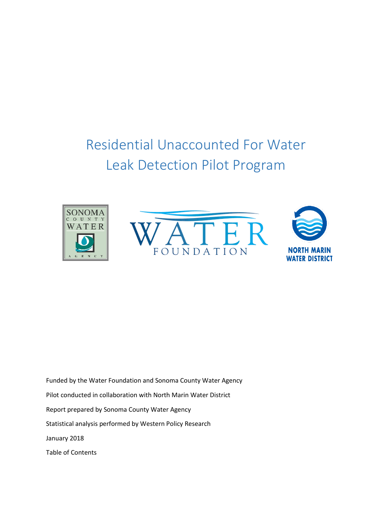# Residential Unaccounted For Water Leak Detection Pilot Program







Funded by the Water Foundation and Sonoma County Water Agency Pilot conducted in collaboration with North Marin Water District Report prepared by Sonoma County Water Agency Statistical analysis performed by Western Policy Research January 2018 Table of Contents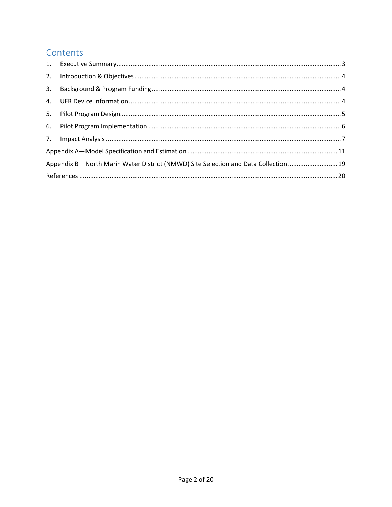# Contents

| 3.                                                                                    |  |  |  |  |
|---------------------------------------------------------------------------------------|--|--|--|--|
|                                                                                       |  |  |  |  |
|                                                                                       |  |  |  |  |
|                                                                                       |  |  |  |  |
|                                                                                       |  |  |  |  |
|                                                                                       |  |  |  |  |
| Appendix B - North Marin Water District (NMWD) Site Selection and Data Collection  19 |  |  |  |  |
|                                                                                       |  |  |  |  |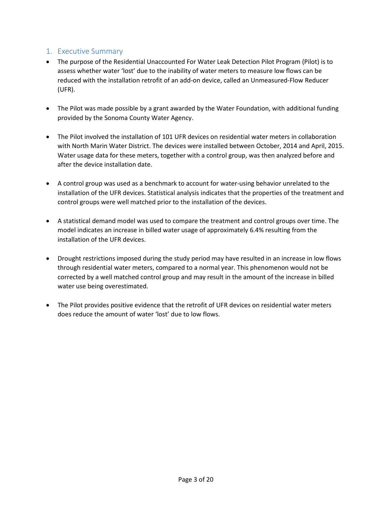## <span id="page-2-0"></span>1. Executive Summary

- The purpose of the Residential Unaccounted For Water Leak Detection Pilot Program (Pilot) is to assess whether water 'lost' due to the inability of water meters to measure low flows can be reduced with the installation retrofit of an add-on device, called an Unmeasured-Flow Reducer (UFR).
- The Pilot was made possible by a grant awarded by the Water Foundation, with additional funding provided by the Sonoma County Water Agency.
- The Pilot involved the installation of 101 UFR devices on residential water meters in collaboration with North Marin Water District. The devices were installed between October, 2014 and April, 2015. Water usage data for these meters, together with a control group, was then analyzed before and after the device installation date.
- A control group was used as a benchmark to account for water-using behavior unrelated to the installation of the UFR devices. Statistical analysis indicates that the properties of the treatment and control groups were well matched prior to the installation of the devices.
- A statistical demand model was used to compare the treatment and control groups over time. The model indicates an increase in billed water usage of approximately 6.4% resulting from the installation of the UFR devices.
- Drought restrictions imposed during the study period may have resulted in an increase in low flows through residential water meters, compared to a normal year. This phenomenon would not be corrected by a well matched control group and may result in the amount of the increase in billed water use being overestimated.
- The Pilot provides positive evidence that the retrofit of UFR devices on residential water meters does reduce the amount of water 'lost' due to low flows.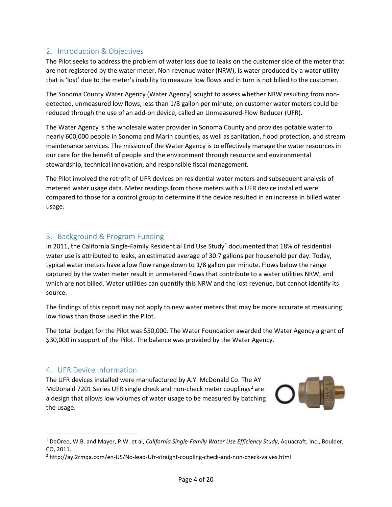# <span id="page-3-0"></span>2. Introduction & Objectives

The Pilot seeks to address the problem of water loss due to leaks on the customer side of the meter that are not registered by the water meter. Non-revenue water (NRW), is water produced by a water utility that is 'lost' due to the meter's inability to measure low flows and in turn is not billed to the customer.

The Sonoma County Water Agency (Water Agency) sought to assess whether NRW resulting from nondetected, unmeasured low flows, less than 1/8 gallon per minute, on customer water meters could be reduced through the use of an add-on device, called an Unmeasured-Flow Reducer (UFR).

The Water Agency is the wholesale water provider in Sonoma County and provides potable water to nearly 600,000 people in Sonoma and Marin counties, as well as sanitation, flood protection, and stream maintenance services. The mission of the Water Agency is to effectively manage the water resources in our care for the benefit of people and the environment through resource and environmental stewardship, technical innovation, and responsible fiscal management.

The Pilot involved the retrofit of UFR devices on residential water meters and subsequent analysis of metered water usage data. Meter readings from those meters with a UFR device installed were compared to those for a control group to determine if the device resulted in an increase in billed water usage.

# <span id="page-3-1"></span>3. Background & Program Funding

In 20[1](#page-3-3)1, the California Single-Family Residential End Use Study<sup>1</sup> documented that 18% of residential water use is attributed to leaks, an estimated average of 30.7 gallons per household per day. Today, typical water meters have a low flow range down to 1/8 gallon per minute. Flows below the range captured by the water meter result in unmetered flows that contribute to a water utilities NRW, and which are not billed. Water utilities can quantify this NRW and the lost revenue, but cannot identify its source.

The findings of this report may not apply to new water meters that may be more accurate at measuring low flows than those used in the Pilot.

The total budget for the Pilot was \$50,000. The Water Foundation awarded the Water Agency a grant of \$30,000 in support of the Pilot. The balance was provided by the Water Agency.

### <span id="page-3-2"></span>4. UFR Device Information

The UFR devices installed were manufactured by A.Y. McDonald Co. The AY McDonald 7[2](#page-3-4)01 Series UFR single check and non-check meter couplings<sup>2</sup> are a design that allows low volumes of water usage to be measured by batching the usage.



 <sup>1</sup> DeOreo, W.B. and Mayer, P.W. et al, *California Single-Family Water Use Efficiency Study*, Aquacraft, Inc., Boulder, CO, 2011.

<span id="page-3-4"></span><span id="page-3-3"></span><sup>2</sup> http://ay.2rmqa.com/en-US/No-lead-Ufr-straight-coupling-check-and-non-check-valves.html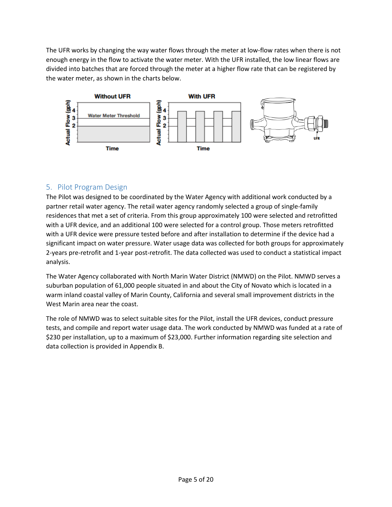The UFR works by changing the way water flows through the meter at low-flow rates when there is not enough energy in the flow to activate the water meter. With the UFR installed, the low linear flows are divided into batches that are forced through the meter at a higher flow rate that can be registered by the water meter, as shown in the charts below.



# <span id="page-4-0"></span>5. Pilot Program Design

The Pilot was designed to be coordinated by the Water Agency with additional work conducted by a partner retail water agency. The retail water agency randomly selected a group of single-family residences that met a set of criteria. From this group approximately 100 were selected and retrofitted with a UFR device, and an additional 100 were selected for a control group. Those meters retrofitted with a UFR device were pressure tested before and after installation to determine if the device had a significant impact on water pressure. Water usage data was collected for both groups for approximately 2-years pre-retrofit and 1-year post-retrofit. The data collected was used to conduct a statistical impact analysis.

The Water Agency collaborated with North Marin Water District (NMWD) on the Pilot. NMWD serves a suburban population of 61,000 people situated in and about the City of Novato which is located in a warm inland coastal valley of Marin County, California and several small improvement districts in the West Marin area near the coast.

The role of NMWD was to select suitable sites for the Pilot, install the UFR devices, conduct pressure tests, and compile and report water usage data. The work conducted by NMWD was funded at a rate of \$230 per installation, up to a maximum of \$23,000. Further information regarding site selection and data collection is provided in Appendix B.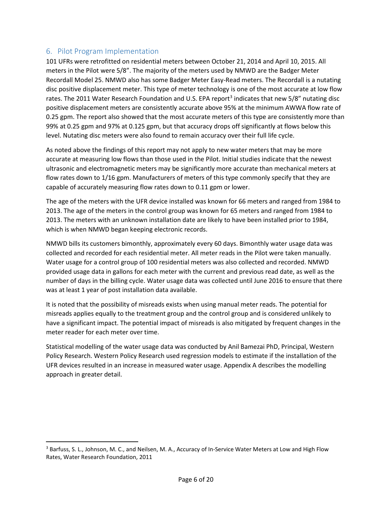# <span id="page-5-0"></span>6. Pilot Program Implementation

101 UFRs were retrofitted on residential meters between October 21, 2014 and April 10, 2015. All meters in the Pilot were 5/8". The majority of the meters used by NMWD are the Badger Meter Recordall Model 25. NMWD also has some Badger Meter Easy-Read meters. The Recordall is a nutating disc positive displacement meter. This type of meter technology is one of the most accurate at low flow rates. The 2011 Water Research Foundation and U.S. EPA report<sup>[3](#page-5-1)</sup> indicates that new 5/8" nutating disc positive displacement meters are consistently accurate above 95% at the minimum AWWA flow rate of 0.25 gpm. The report also showed that the most accurate meters of this type are consistently more than 99% at 0.25 gpm and 97% at 0.125 gpm, but that accuracy drops off significantly at flows below this level. Nutating disc meters were also found to remain accuracy over their full life cycle.

As noted above the findings of this report may not apply to new water meters that may be more accurate at measuring low flows than those used in the Pilot. Initial studies indicate that the newest ultrasonic and electromagnetic meters may be significantly more accurate than mechanical meters at flow rates down to 1/16 gpm. Manufacturers of meters of this type commonly specify that they are capable of accurately measuring flow rates down to 0.11 gpm or lower.

The age of the meters with the UFR device installed was known for 66 meters and ranged from 1984 to 2013. The age of the meters in the control group was known for 65 meters and ranged from 1984 to 2013. The meters with an unknown installation date are likely to have been installed prior to 1984, which is when NMWD began keeping electronic records.

NMWD bills its customers bimonthly, approximately every 60 days. Bimonthly water usage data was collected and recorded for each residential meter. All meter reads in the Pilot were taken manually. Water usage for a control group of 100 residential meters was also collected and recorded. NMWD provided usage data in gallons for each meter with the current and previous read date, as well as the number of days in the billing cycle. Water usage data was collected until June 2016 to ensure that there was at least 1 year of post installation data available.

It is noted that the possibility of misreads exists when using manual meter reads. The potential for misreads applies equally to the treatment group and the control group and is considered unlikely to have a significant impact. The potential impact of misreads is also mitigated by frequent changes in the meter reader for each meter over time.

Statistical modelling of the water usage data was conducted by Anil Bamezai PhD, Principal, Western Policy Research. Western Policy Research used regression models to estimate if the installation of the UFR devices resulted in an increase in measured water usage. Appendix A describes the modelling approach in greater detail.

<span id="page-5-1"></span><sup>&</sup>lt;sup>3</sup> Barfuss, S. L., Johnson, M. C., and Neilsen, M. A., Accuracy of In-Service Water Meters at Low and High Flow Rates, Water Research Foundation, 2011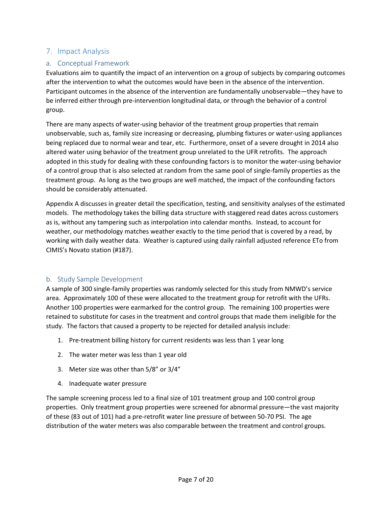### <span id="page-6-0"></span>7. Impact Analysis

#### a. Conceptual Framework

Evaluations aim to quantify the impact of an intervention on a group of subjects by comparing outcomes after the intervention to what the outcomes would have been in the absence of the intervention. Participant outcomes in the absence of the intervention are fundamentally unobservable—they have to be inferred either through pre-intervention longitudinal data, or through the behavior of a control group.

There are many aspects of water-using behavior of the treatment group properties that remain unobservable, such as, family size increasing or decreasing, plumbing fixtures or water-using appliances being replaced due to normal wear and tear, etc. Furthermore, onset of a severe drought in 2014 also altered water using behavior of the treatment group unrelated to the UFR retrofits. The approach adopted in this study for dealing with these confounding factors is to monitor the water-using behavior of a control group that is also selected at random from the same pool of single-family properties as the treatment group. As long as the two groups are well matched, the impact of the confounding factors should be considerably attenuated.

Appendix A discusses in greater detail the specification, testing, and sensitivity analyses of the estimated models. The methodology takes the billing data structure with staggered read dates across customers as is, without any tampering such as interpolation into calendar months. Instead, to account for weather, our methodology matches weather exactly to the time period that is covered by a read, by working with daily weather data. Weather is captured using daily rainfall adjusted reference ETo from CIMIS's Novato station (#187).

#### b. Study Sample Development

A sample of 300 single-family properties was randomly selected for this study from NMWD's service area. Approximately 100 of these were allocated to the treatment group for retrofit with the UFRs. Another 100 properties were earmarked for the control group. The remaining 100 properties were retained to substitute for cases in the treatment and control groups that made them ineligible for the study. The factors that caused a property to be rejected for detailed analysis include:

- 1. Pre-treatment billing history for current residents was less than 1 year long
- 2. The water meter was less than 1 year old
- 3. Meter size was other than 5/8" or 3/4"
- 4. Inadequate water pressure

The sample screening process led to a final size of 101 treatment group and 100 control group properties. Only treatment group properties were screened for abnormal pressure—the vast majority of these (83 out of 101) had a pre-retrofit water line pressure of between 50-70 PSI. The age distribution of the water meters was also comparable between the treatment and control groups.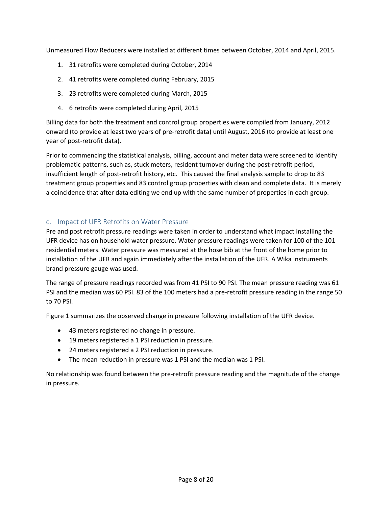Unmeasured Flow Reducers were installed at different times between October, 2014 and April, 2015.

- 1. 31 retrofits were completed during October, 2014
- 2. 41 retrofits were completed during February, 2015
- 3. 23 retrofits were completed during March, 2015
- 4. 6 retrofits were completed during April, 2015

Billing data for both the treatment and control group properties were compiled from January, 2012 onward (to provide at least two years of pre-retrofit data) until August, 2016 (to provide at least one year of post-retrofit data).

Prior to commencing the statistical analysis, billing, account and meter data were screened to identify problematic patterns, such as, stuck meters, resident turnover during the post-retrofit period, insufficient length of post-retrofit history, etc. This caused the final analysis sample to drop to 83 treatment group properties and 83 control group properties with clean and complete data. It is merely a coincidence that after data editing we end up with the same number of properties in each group.

#### c. Impact of UFR Retrofits on Water Pressure

Pre and post retrofit pressure readings were taken in order to understand what impact installing the UFR device has on household water pressure. Water pressure readings were taken for 100 of the 101 residential meters. Water pressure was measured at the hose bib at the front of the home prior to installation of the UFR and again immediately after the installation of the UFR. A Wika Instruments brand pressure gauge was used.

The range of pressure readings recorded was from 41 PSI to 90 PSI. The mean pressure reading was 61 PSI and the median was 60 PSI. 83 of the 100 meters had a pre-retrofit pressure reading in the range 50 to 70 PSI.

Figure 1 summarizes the observed change in pressure following installation of the UFR device.

- 43 meters registered no change in pressure.
- 19 meters registered a 1 PSI reduction in pressure.
- 24 meters registered a 2 PSI reduction in pressure.
- The mean reduction in pressure was 1 PSI and the median was 1 PSI.

No relationship was found between the pre-retrofit pressure reading and the magnitude of the change in pressure.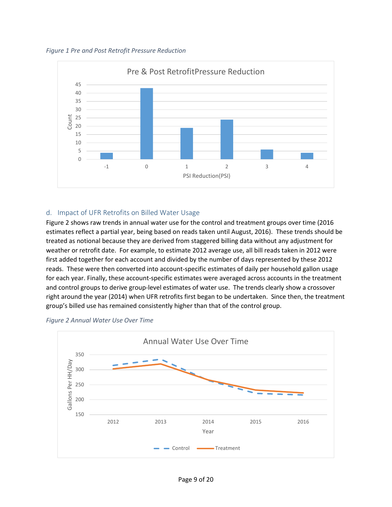*Figure 1 Pre and Post Retrofit Pressure Reduction*



#### d. Impact of UFR Retrofits on Billed Water Usage

Figure 2 shows raw trends in annual water use for the control and treatment groups over time (2016 estimates reflect a partial year, being based on reads taken until August, 2016). These trends should be treated as notional because they are derived from staggered billing data without any adjustment for weather or retrofit date. For example, to estimate 2012 average use, all bill reads taken in 2012 were first added together for each account and divided by the number of days represented by these 2012 reads. These were then converted into account-specific estimates of daily per household gallon usage for each year. Finally, these account-specific estimates were averaged across accounts in the treatment and control groups to derive group-level estimates of water use. The trends clearly show a crossover right around the year (2014) when UFR retrofits first began to be undertaken. Since then, the treatment group's billed use has remained consistently higher than that of the control group.



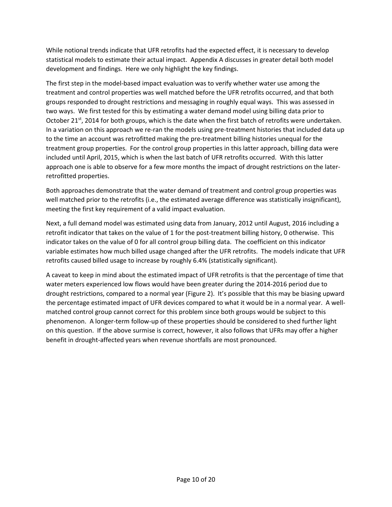While notional trends indicate that UFR retrofits had the expected effect, it is necessary to develop statistical models to estimate their actual impact. Appendix A discusses in greater detail both model development and findings. Here we only highlight the key findings.

The first step in the model-based impact evaluation was to verify whether water use among the treatment and control properties was well matched before the UFR retrofits occurred, and that both groups responded to drought restrictions and messaging in roughly equal ways. This was assessed in two ways. We first tested for this by estimating a water demand model using billing data prior to October 21<sup>st</sup>, 2014 for both groups, which is the date when the first batch of retrofits were undertaken. In a variation on this approach we re-ran the models using pre-treatment histories that included data up to the time an account was retrofitted making the pre-treatment billing histories unequal for the treatment group properties. For the control group properties in this latter approach, billing data were included until April, 2015, which is when the last batch of UFR retrofits occurred. With this latter approach one is able to observe for a few more months the impact of drought restrictions on the laterretrofitted properties.

Both approaches demonstrate that the water demand of treatment and control group properties was well matched prior to the retrofits (i.e., the estimated average difference was statistically insignificant), meeting the first key requirement of a valid impact evaluation.

Next, a full demand model was estimated using data from January, 2012 until August, 2016 including a retrofit indicator that takes on the value of 1 for the post-treatment billing history, 0 otherwise. This indicator takes on the value of 0 for all control group billing data. The coefficient on this indicator variable estimates how much billed usage changed after the UFR retrofits. The models indicate that UFR retrofits caused billed usage to increase by roughly 6.4% (statistically significant).

A caveat to keep in mind about the estimated impact of UFR retrofits is that the percentage of time that water meters experienced low flows would have been greater during the 2014-2016 period due to drought restrictions, compared to a normal year (Figure 2). It's possible that this may be biasing upward the percentage estimated impact of UFR devices compared to what it would be in a normal year. A wellmatched control group cannot correct for this problem since both groups would be subject to this phenomenon. A longer-term follow-up of these properties should be considered to shed further light on this question. If the above surmise is correct, however, it also follows that UFRs may offer a higher benefit in drought-affected years when revenue shortfalls are most pronounced.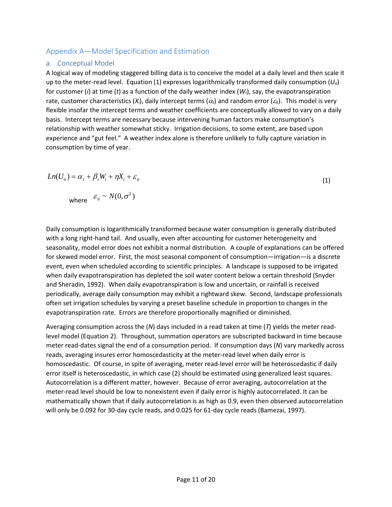# <span id="page-10-0"></span>Appendix A—Model Specification and Estimation

#### a. Conceptual Model

A logical way of modeling staggered billing data is to conceive the model at a daily level and then scale it up to the meter-read level. Equation (1) expresses logarithmically transformed daily consumption  $(U_{it})$ for customer (*i*) at time (*t*) as a function of the daily weather index (*Wt*), say, the evapotranspiration rate, customer characteristics  $(X_i)$ , daily intercept terms  $(\alpha_i)$  and random error  $(\varepsilon_i)$ . This model is very flexible insofar the intercept terms and weather coefficients are conceptually allowed to vary on a daily basis. Intercept terms are necessary because intervening human factors make consumption's relationship with weather somewhat sticky. Irrigation decisions, to some extent, are based upon experience and "gut feel." A weather index alone is therefore unlikely to fully capture variation in consumption by time of year.

$$
Ln(U_{ii}) = \alpha_t + \beta_t W_t + \eta X_i + \varepsilon_{it}
$$
  
\nwhere  $\varepsilon_{it} \sim N(0, \sigma^2)$  (1)

Daily consumption is logarithmically transformed because water consumption is generally distributed with a long right-hand tail. And usually, even after accounting for customer heterogeneity and seasonality, model error does not exhibit a normal distribution. A couple of explanations can be offered for skewed model error. First, the most seasonal component of consumption—irrigation—is a discrete event, even when scheduled according to scientific principles. A landscape is supposed to be irrigated when daily evapotranspiration has depleted the soil water content below a certain threshold (Snyder and Sheradin, 1992). When daily evapotranspiration is low and uncertain, or rainfall is received periodically, average daily consumption may exhibit a rightward skew. Second, landscape professionals often set irrigation schedules by varying a preset baseline schedule in proportion to changes in the evapotranspiration rate. Errors are therefore proportionally magnified or diminished.

Averaging consumption across the (*N*) days included in a read taken at time (*T*) yields the meter readlevel model (Equation 2). Throughout, summation operators are subscripted backward in time because meter read-dates signal the end of a consumption period. If consumption days (*N*) vary markedly across reads, averaging insures error homoscedasticity at the meter-read level when daily error is homoscedastic. Of course, in spite of averaging, meter read-level error will be heteroscedastic if daily error itself is heteroscedastic, in which case (2) should be estimated using generalized least squares. Autocorrelation is a different matter, however. Because of error averaging, autocorrelation at the meter-read level should be low to nonexistent even if daily error is highly autocorrelated. It can be mathematically shown that if daily autocorrelation is as high as 0.9, even then observed autocorrelation will only be 0.092 for 30-day cycle reads, and 0.025 for 61-day cycle reads (Bamezai, 1997).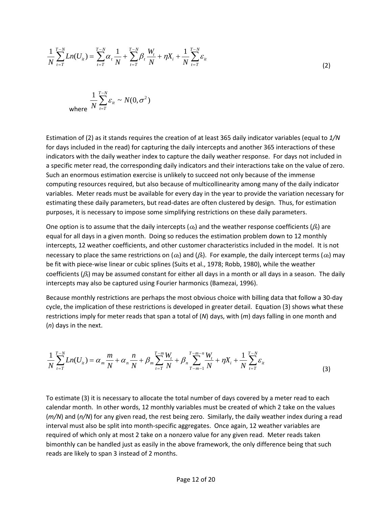$$
\frac{1}{N} \sum_{t=T}^{T-N} Ln(U_{it}) = \sum_{t=T}^{T-N} \alpha_{t} \frac{1}{N} + \sum_{t=T}^{T-N} \beta_{t} \frac{W_{t}}{N} + \eta X_{i} + \frac{1}{N} \sum_{t=T}^{T-N} \varepsilon_{it}
$$
\n
$$
\frac{1}{N} \sum_{t=T}^{T-N} \varepsilon_{it} \sim N(0, \sigma^{2})
$$
\nwhere

\n
$$
\frac{1}{N} \sum_{t=T}^{T-N} \varepsilon_{it} \sim N(0, \sigma^{2})
$$
\n(2)

where

Estimation of (2) as it stands requires the creation of at least 365 daily indicator variables (equal to *1/N* for days included in the read) for capturing the daily intercepts and another 365 interactions of these indicators with the daily weather index to capture the daily weather response. For days not included in a specific meter read, the corresponding daily indicators and their interactions take on the value of zero. Such an enormous estimation exercise is unlikely to succeed not only because of the immense computing resources required, but also because of multicollinearity among many of the daily indicator variables. Meter reads must be available for every day in the year to provide the variation necessary for estimating these daily parameters, but read-dates are often clustered by design. Thus, for estimation purposes, it is necessary to impose some simplifying restrictions on these daily parameters.

One option is to assume that the daily intercepts ( $\alpha_t$ ) and the weather response coefficients ( $\beta_t$ ) are equal for all days in a given month. Doing so reduces the estimation problem down to 12 monthly intercepts, 12 weather coefficients, and other customer characteristics included in the model. It is not necessary to place the same restrictions on  $(\alpha_t)$  and  $(\beta_t)$ . For example, the daily intercept terms  $(\alpha_t)$  may be fit with piece-wise linear or cubic splines (Suits et al., 1978; Robb, 1980), while the weather coefficients (β*t*) may be assumed constant for either all days in a month or all days in a season. The daily intercepts may also be captured using Fourier harmonics (Bamezai, 1996).

Because monthly restrictions are perhaps the most obvious choice with billing data that follow a 30-day cycle, the implication of these restrictions is developed in greater detail. Equation (3) shows what these restrictions imply for meter reads that span a total of (*N*) days, with (*m*) days falling in one month and (*n*) days in the next.

$$
\frac{1}{N}\sum_{t=T}^{T-N}Ln(U_{it}) = \alpha_m\frac{m}{N} + \alpha_n\frac{n}{N} + \beta_m\sum_{t=T}^{T-m}\frac{W_t}{N} + \beta_n\sum_{T-m-1}^{T-m-n}\frac{W_t}{N} + \eta X_i + \frac{1}{N}\sum_{t=T}^{T-N}\varepsilon_{it}
$$
\n(3)

To estimate (3) it is necessary to allocate the total number of days covered by a meter read to each calendar month. In other words, 12 monthly variables must be created of which 2 take on the values (*m/N*) and (*n/N*) for any given read, the rest being zero. Similarly, the daily weather index during a read interval must also be split into month-specific aggregates. Once again, 12 weather variables are required of which only at most 2 take on a nonzero value for any given read. Meter reads taken bimonthly can be handled just as easily in the above framework, the only difference being that such reads are likely to span 3 instead of 2 months.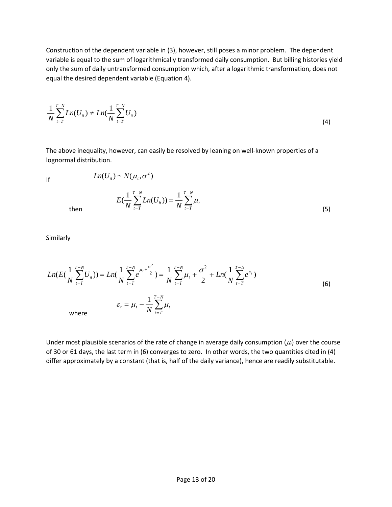Construction of the dependent variable in (3), however, still poses a minor problem. The dependent variable is equal to the sum of logarithmically transformed daily consumption. But billing histories yield only the sum of daily untransformed consumption which, after a logarithmic transformation, does not equal the desired dependent variable (Equation 4).

$$
\frac{1}{N} \sum_{t=T}^{T-N} Ln(U_{it}) \neq Ln(\frac{1}{N} \sum_{t=T}^{T-N} U_{it})
$$
\n(4)

The above inequality, however, can easily be resolved by leaning on well-known properties of a lognormal distribution.

If 
$$
Ln(U_{it}) \sim N(\mu_t, \sigma^2)
$$
  

$$
E(\frac{1}{N} \sum_{t=T}^{T-N} Ln(U_{it})) = \frac{1}{N} \sum_{t=T}^{T-N} \mu_t
$$

then

Similarly

$$
Ln(E(\frac{1}{N}\sum_{t=T}^{T-N}U_{it})) = Ln(\frac{1}{N}\sum_{t=T}^{T-N}e^{\mu_{t}+\frac{\sigma^{2}}{2}}) = \frac{1}{N}\sum_{t=T}^{T-N}\mu_{t} + \frac{\sigma^{2}}{2} + Ln(\frac{1}{N}\sum_{t=T}^{T-N}e^{\varepsilon_{t}})
$$
  
\n
$$
\varepsilon_{t} = \mu_{t} - \frac{1}{N}\sum_{t=T}^{T-N}\mu_{t}
$$
\nwhere\n
$$
(6)
$$

Under most plausible scenarios of the rate of change in average daily consumption  $(\mu_t)$  over the course of 30 or 61 days, the last term in (6) converges to zero. In other words, the two quantities cited in (4) differ approximately by a constant (that is, half of the daily variance), hence are readily substitutable.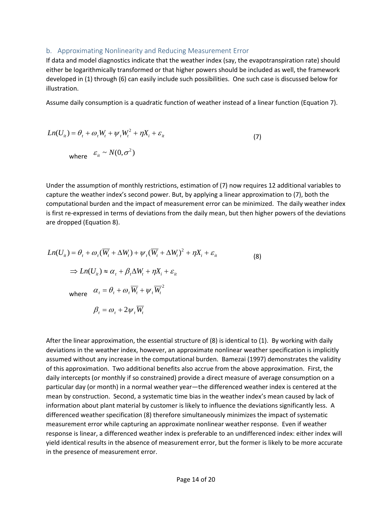#### b. Approximating Nonlinearity and Reducing Measurement Error

If data and model diagnostics indicate that the weather index (say, the evapotranspiration rate) should either be logarithmically transformed or that higher powers should be included as well, the framework developed in (1) through (6) can easily include such possibilities. One such case is discussed below for illustration.

Assume daily consumption is a quadratic function of weather instead of a linear function (Equation 7).

$$
Ln(U_{ii}) = \theta_t + \omega_t W_t + \psi_t W_t^2 + \eta X_i + \varepsilon_{it}
$$
  
where  $\varepsilon_{it} \sim N(0, \sigma^2)$  (7)

Under the assumption of monthly restrictions, estimation of (7) now requires 12 additional variables to capture the weather index's second power. But, by applying a linear approximation to (7), both the computational burden and the impact of measurement error can be minimized. The daily weather index is first re-expressed in terms of deviations from the daily mean, but then higher powers of the deviations are dropped (Equation 8).

$$
Ln(U_{it}) = \theta_{t} + \omega_{t}(\overline{W_{t}} + \Delta W_{t}) + \psi_{t}(\overline{W_{t}} + \Delta W_{t})^{2} + \eta X_{i} + \varepsilon_{it}
$$
\n
$$
\Rightarrow Ln(U_{it}) \approx \alpha_{t} + \beta_{t} \Delta W_{t} + \eta X_{i} + \varepsilon_{it}
$$
\nwhere\n
$$
\alpha_{t} = \theta_{t} + \omega_{t} \overline{W_{t}} + \psi_{t} \overline{W_{t}}^{2}
$$
\n
$$
\beta_{t} = \omega_{t} + 2\psi_{t} \overline{W_{t}}
$$
\n(8)

After the linear approximation, the essential structure of (8) is identical to (1). By working with daily deviations in the weather index, however, an approximate nonlinear weather specification is implicitly assumed without any increase in the computational burden. Bamezai (1997) demonstrates the validity of this approximation. Two additional benefits also accrue from the above approximation. First, the daily intercepts (or monthly if so constrained) provide a direct measure of average consumption on a particular day (or month) in a normal weather year—the differenced weather index is centered at the mean by construction. Second, a systematic time bias in the weather index's mean caused by lack of information about plant material by customer is likely to influence the deviations significantly less. A differenced weather specification (8) therefore simultaneously minimizes the impact of systematic measurement error while capturing an approximate nonlinear weather response. Even if weather response is linear, a differenced weather index is preferable to an undifferenced index: either index will yield identical results in the absence of measurement error, but the former is likely to be more accurate in the presence of measurement error.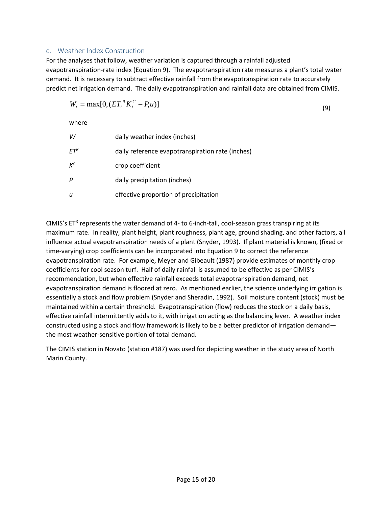#### c. Weather Index Construction

For the analyses that follow, weather variation is captured through a rainfall adjusted evapotranspiration-rate index (Equation 9). The evapotranspiration rate measures a plant's total water demand. It is necessary to subtract effective rainfall from the evapotranspiration rate to accurately predict net irrigation demand. The daily evapotranspiration and rainfall data are obtained from CIMIS.

$$
W_t = \max[0, (ET_t^R K_t^C - P_t u)]
$$
\n(9)

where

| w               | daily weather index (inches)                     |
|-----------------|--------------------------------------------------|
| EΤ <sup>ĸ</sup> | daily reference evapotranspiration rate (inches) |
| $K^C$           | crop coefficient                                 |
| Ρ               | daily precipitation (inches)                     |
| u               | effective proportion of precipitation            |

CIMIS's  $ET^R$  represents the water demand of 4- to 6-inch-tall, cool-season grass transpiring at its maximum rate. In reality, plant height, plant roughness, plant age, ground shading, and other factors, all influence actual evapotranspiration needs of a plant (Snyder, 1993). If plant material is known, (fixed or time-varying) crop coefficients can be incorporated into Equation 9 to correct the reference evapotranspiration rate. For example, Meyer and Gibeault (1987) provide estimates of monthly crop coefficients for cool season turf. Half of daily rainfall is assumed to be effective as per CIMIS's recommendation, but when effective rainfall exceeds total evapotranspiration demand, net evapotranspiration demand is floored at zero. As mentioned earlier, the science underlying irrigation is essentially a stock and flow problem (Snyder and Sheradin, 1992). Soil moisture content (stock) must be maintained within a certain threshold. Evapotranspiration (flow) reduces the stock on a daily basis, effective rainfall intermittently adds to it, with irrigation acting as the balancing lever. A weather index constructed using a stock and flow framework is likely to be a better predictor of irrigation demand the most weather-sensitive portion of total demand.

The CIMIS station in Novato (station #187) was used for depicting weather in the study area of North Marin County.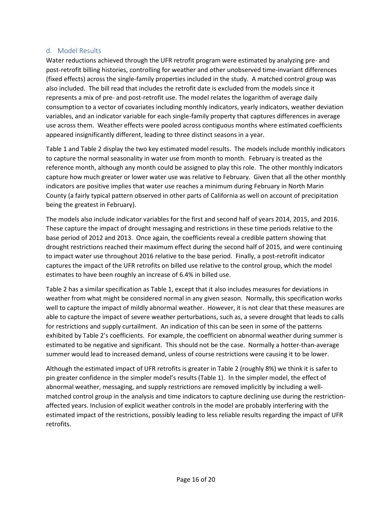#### d. Model Results

Water reductions achieved through the UFR retrofit program were estimated by analyzing pre- and post-retrofit billing histories, controlling for weather and other unobserved time-invariant differences (fixed effects) across the single-family properties included in the study. A matched control group was also included. The bill read that includes the retrofit date is excluded from the models since it represents a mix of pre- and post-retrofit use. The model relates the logarithm of average daily consumption to a vector of covariates including monthly indicators, yearly indicators, weather deviation variables, and an indicator variable for each single-family property that captures differences in average use across them. Weather effects were pooled across contiguous months where estimated coefficients appeared insignificantly different, leading to three distinct seasons in a year.

[Table 1](#page-16-0) and Table 2 display the two key estimated model results. The models include monthly indicators to capture the normal seasonality in water use from month to month. February is treated as the reference month, although any month could be assigned to play this role. The other monthly indicators capture how much greater or lower water use was relative to February. Given that all the other monthly indicators are positive implies that water use reaches a minimum during February in North Marin County (a fairly typical pattern observed in other parts of California as well on account of precipitation being the greatest in February).

The models also include indicator variables for the first and second half of years 2014, 2015, and 2016. These capture the impact of drought messaging and restrictions in these time periods relative to the base period of 2012 and 2013. Once again, the coefficients reveal a credible pattern showing that drought restrictions reached their maximum effect during the second half of 2015, and were continuing to impact water use throughout 2016 relative to the base period. Finally, a post-retrofit indicator captures the impact of the UFR retrofits on billed use relative to the control group, which the model estimates to have been roughly an increase of 6.4% in billed use.

Table 2 has a similar specification as Table 1, except that it also includes measures for deviations in weather from what might be considered normal in any given season. Normally, this specification works well to capture the impact of mildly abnormal weather. However, it is not clear that these measures are able to capture the impact of severe weather perturbations, such as, a severe drought that leads to calls for restrictions and supply curtailment. An indication of this can be seen in some of the patterns exhibited by Table 2's coefficients. For example, the coefficient on abnormal weather during summer is estimated to be negative and significant. This should not be the case. Normally a hotter-than-average summer would lead to increased demand, unless of course restrictions were causing it to be lower.

Although the estimated impact of UFR retrofits is greater in Table 2 (roughly 8%) we think it is safer to pin greater confidence in the simpler model's results (Table 1). In the simpler model, the effect of abnormal weather, messaging, and supply restrictions are removed implicitly by including a wellmatched control group in the analysis and time indicators to capture declining use during the restrictionaffected years. Inclusion of explicit weather controls in the model are probably interfering with the estimated impact of the restrictions, possibly leading to less reliable results regarding the impact of UFR retrofits.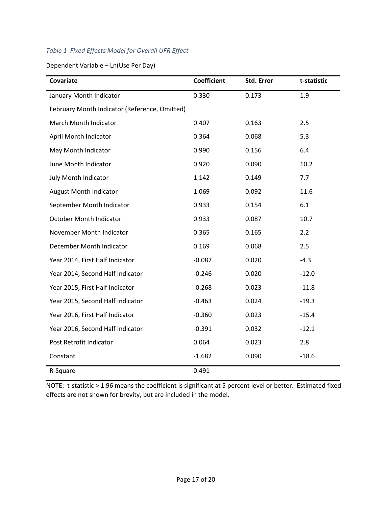# <span id="page-16-0"></span>*Table 1 Fixed Effects Model for Overall UFR Effect*

Dependent Variable – Ln(Use Per Day)

| Covariate                                     | <b>Coefficient</b> | Std. Error | t-statistic |
|-----------------------------------------------|--------------------|------------|-------------|
| January Month Indicator                       | 0.330              | 0.173      | 1.9         |
| February Month Indicator (Reference, Omitted) |                    |            |             |
| March Month Indicator                         | 0.407              | 0.163      | 2.5         |
| April Month Indicator                         | 0.364              | 0.068      | 5.3         |
| May Month Indicator                           | 0.990              | 0.156      | 6.4         |
| June Month Indicator                          | 0.920              | 0.090      | 10.2        |
| July Month Indicator                          | 1.142              | 0.149      | 7.7         |
| <b>August Month Indicator</b>                 | 1.069              | 0.092      | 11.6        |
| September Month Indicator                     | 0.933              | 0.154      | 6.1         |
| October Month Indicator                       | 0.933              | 0.087      | 10.7        |
| November Month Indicator                      | 0.365              | 0.165      | 2.2         |
| December Month Indicator                      | 0.169              | 0.068      | 2.5         |
| Year 2014, First Half Indicator               | $-0.087$           | 0.020      | $-4.3$      |
| Year 2014, Second Half Indicator              | $-0.246$           | 0.020      | $-12.0$     |
| Year 2015, First Half Indicator               | $-0.268$           | 0.023      | $-11.8$     |
| Year 2015, Second Half Indicator              | $-0.463$           | 0.024      | $-19.3$     |
| Year 2016, First Half Indicator               | $-0.360$           | 0.023      | $-15.4$     |
| Year 2016, Second Half Indicator              | $-0.391$           | 0.032      | $-12.1$     |
| Post Retrofit Indicator                       | 0.064              | 0.023      | 2.8         |
| Constant                                      | $-1.682$           | 0.090      | $-18.6$     |
| R-Square                                      | 0.491              |            |             |

NOTE: t-statistic > 1.96 means the coefficient is significant at 5 percent level or better. Estimated fixed effects are not shown for brevity, but are included in the model.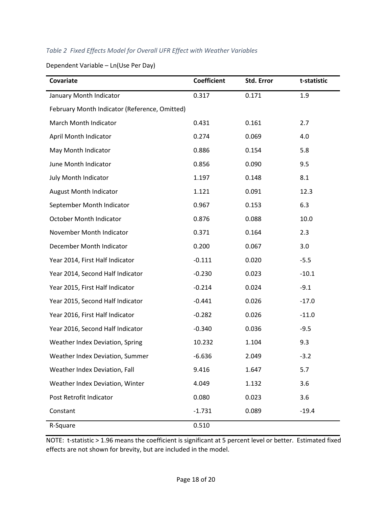# *Table 2 Fixed Effects Model for Overall UFR Effect with Weather Variables*

Dependent Variable – Ln(Use Per Day)

| Covariate                                     | <b>Coefficient</b> | Std. Error | t-statistic |
|-----------------------------------------------|--------------------|------------|-------------|
| January Month Indicator                       | 0.317              | 0.171      | 1.9         |
| February Month Indicator (Reference, Omitted) |                    |            |             |
| March Month Indicator                         | 0.431              | 0.161      | 2.7         |
| April Month Indicator                         | 0.274              | 0.069      | 4.0         |
| May Month Indicator                           | 0.886              | 0.154      | 5.8         |
| June Month Indicator                          | 0.856              | 0.090      | 9.5         |
| July Month Indicator                          | 1.197              | 0.148      | 8.1         |
| <b>August Month Indicator</b>                 | 1.121              | 0.091      | 12.3        |
| September Month Indicator                     | 0.967              | 0.153      | 6.3         |
| <b>October Month Indicator</b>                | 0.876              | 0.088      | 10.0        |
| November Month Indicator                      | 0.371              | 0.164      | 2.3         |
| December Month Indicator                      | 0.200              | 0.067      | 3.0         |
| Year 2014, First Half Indicator               | $-0.111$           | 0.020      | $-5.5$      |
| Year 2014, Second Half Indicator              | $-0.230$           | 0.023      | $-10.1$     |
| Year 2015, First Half Indicator               | $-0.214$           | 0.024      | $-9.1$      |
| Year 2015, Second Half Indicator              | $-0.441$           | 0.026      | $-17.0$     |
| Year 2016, First Half Indicator               | $-0.282$           | 0.026      | $-11.0$     |
| Year 2016, Second Half Indicator              | $-0.340$           | 0.036      | $-9.5$      |
| Weather Index Deviation, Spring               | 10.232             | 1.104      | 9.3         |
| Weather Index Deviation, Summer               | $-6.636$           | 2.049      | $-3.2$      |
| Weather Index Deviation, Fall                 | 9.416              | 1.647      | 5.7         |
| Weather Index Deviation, Winter               | 4.049              | 1.132      | 3.6         |
| Post Retrofit Indicator                       | 0.080              | 0.023      | 3.6         |
| Constant                                      | $-1.731$           | 0.089      | $-19.4$     |
| R-Square                                      | 0.510              |            |             |

NOTE: t-statistic > 1.96 means the coefficient is significant at 5 percent level or better. Estimated fixed effects are not shown for brevity, but are included in the model.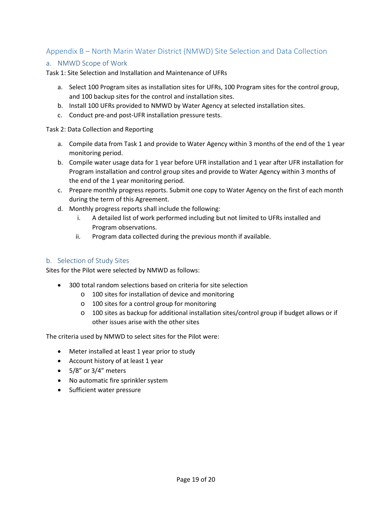# <span id="page-18-0"></span>Appendix B – North Marin Water District (NMWD) Site Selection and Data Collection

#### a. NMWD Scope of Work

Task 1: Site Selection and Installation and Maintenance of UFRs

- a. Select 100 Program sites as installation sites for UFRs, 100 Program sites for the control group, and 100 backup sites for the control and installation sites.
- b. Install 100 UFRs provided to NMWD by Water Agency at selected installation sites.
- c. Conduct pre-and post-UFR installation pressure tests.

Task 2: Data Collection and Reporting

- a. Compile data from Task 1 and provide to Water Agency within 3 months of the end of the 1 year monitoring period.
- b. Compile water usage data for 1 year before UFR installation and 1 year after UFR installation for Program installation and control group sites and provide to Water Agency within 3 months of the end of the 1 year monitoring period.
- c. Prepare monthly progress reports. Submit one copy to Water Agency on the first of each month during the term of this Agreement.
- d. Monthly progress reports shall include the following:
	- i. A detailed list of work performed including but not limited to UFRs installed and Program observations.
	- ii. Program data collected during the previous month if available.

#### b. Selection of Study Sites

Sites for the Pilot were selected by NMWD as follows:

- 300 total random selections based on criteria for site selection
	- o 100 sites for installation of device and monitoring
	- o 100 sites for a control group for monitoring
	- o 100 sites as backup for additional installation sites/control group if budget allows or if other issues arise with the other sites

The criteria used by NMWD to select sites for the Pilot were:

- Meter installed at least 1 year prior to study
- Account history of at least 1 year
- 5/8" or 3/4" meters
- No automatic fire sprinkler system
- Sufficient water pressure